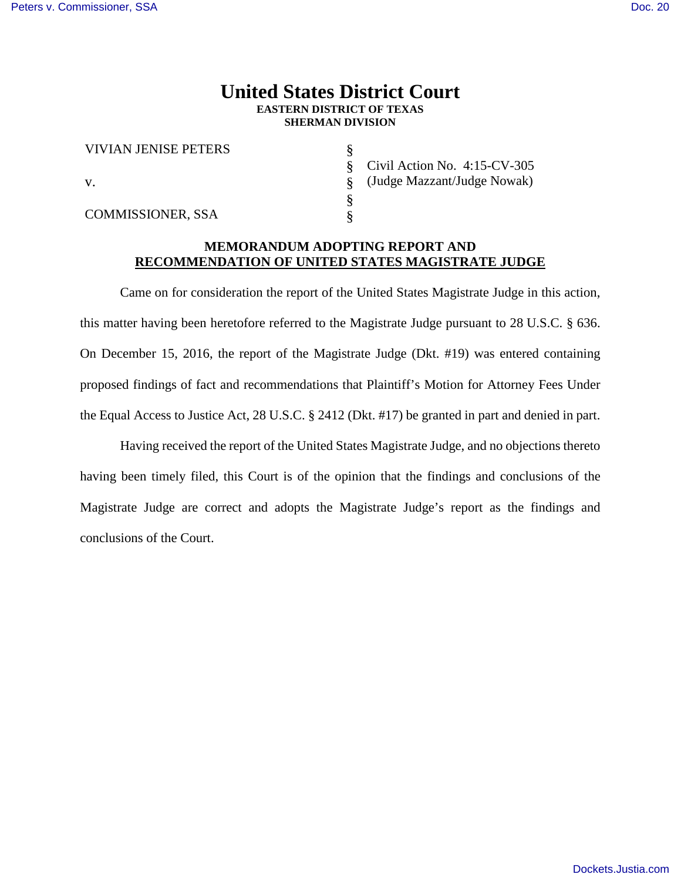## **United States District Court EASTERN DISTRICT OF TEXAS SHERMAN DIVISION**

§ § § § §

| <b>VIVIAN JENISE PETERS</b> |
|-----------------------------|
| V.                          |
| <b>COMMISSIONER, SSA</b>    |

Civil Action No. 4:15-CV-305 (Judge Mazzant/Judge Nowak)

## **MEMORANDUM ADOPTING REPORT AND RECOMMENDATION OF UNITED STATES MAGISTRATE JUDGE**

Came on for consideration the report of the United States Magistrate Judge in this action, this matter having been heretofore referred to the Magistrate Judge pursuant to 28 U.S.C. § 636. On December 15, 2016, the report of the Magistrate Judge (Dkt. #19) was entered containing proposed findings of fact and recommendations that Plaintiff's Motion for Attorney Fees Under the Equal Access to Justice Act, 28 U.S.C. § 2412 (Dkt. #17) be granted in part and denied in part.

Having received the report of the United States Magistrate Judge, and no objections thereto having been timely filed, this Court is of the opinion that the findings and conclusions of the Magistrate Judge are correct and adopts the Magistrate Judge's report as the findings and conclusions of the Court.